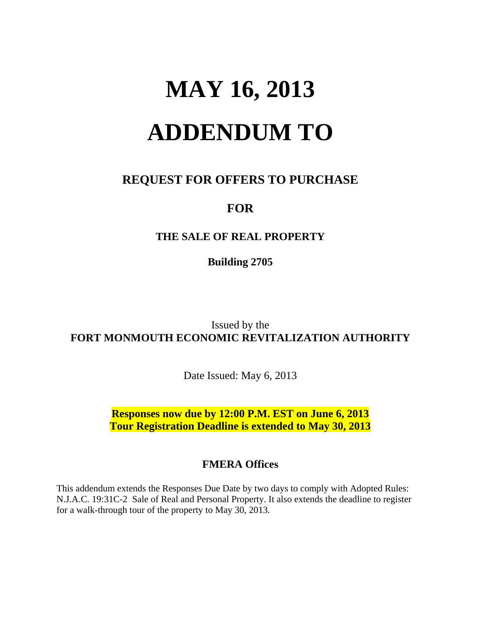# **MAY 16, 2013 ADDENDUM TO**

### **REQUEST FOR OFFERS TO PURCHASE**

## **FOR**

#### **THE SALE OF REAL PROPERTY**

**Building 2705** 

Issued by the **FORT MONMOUTH ECONOMIC REVITALIZATION AUTHORITY** 

Date Issued: May 6, 2013

**Responses now due by 12:00 P.M. EST on June 6, 2013 Tour Registration Deadline is extended to May 30, 2013** 

#### **FMERA Offices**

This addendum extends the Responses Due Date by two days to comply with Adopted Rules: N.J.A.C. 19:31C-2 Sale of Real and Personal Property. It also extends the deadline to register for a walk-through tour of the property to May 30, 2013.